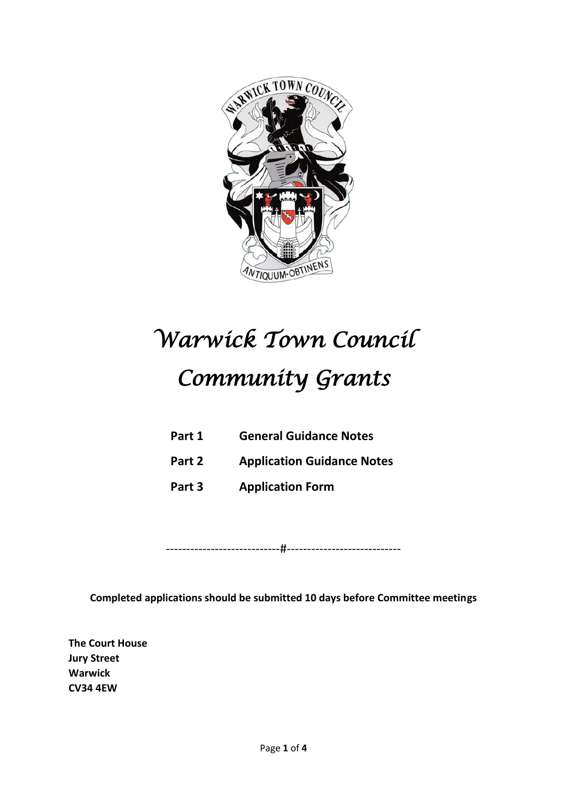

# *Warwick Town Council Community Grants*

- **Part 1 General Guidance Notes**
- **Part 2 Application Guidance Notes**
- **Part 3 Application Form**

----------------------------#----------------------------

**Completed applications should be submitted 10 days before Committee meetings**

**The Court House Jury Street Warwick CV34 4EW**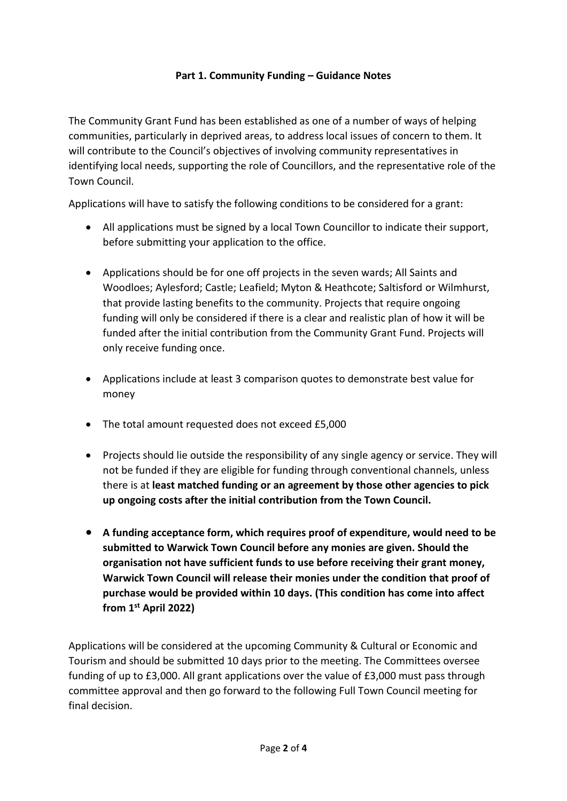#### **Part 1. Community Funding – Guidance Notes**

The Community Grant Fund has been established as one of a number of ways of helping communities, particularly in deprived areas, to address local issues of concern to them. It will contribute to the Council's objectives of involving community representatives in identifying local needs, supporting the role of Councillors, and the representative role of the Town Council.

Applications will have to satisfy the following conditions to be considered for a grant:

- All applications must be signed by a local Town Councillor to indicate their support, before submitting your application to the office.
- Applications should be for one off projects in the seven wards; All Saints and Woodloes; Aylesford; Castle; Leafield; Myton & Heathcote; Saltisford or Wilmhurst, that provide lasting benefits to the community. Projects that require ongoing funding will only be considered if there is a clear and realistic plan of how it will be funded after the initial contribution from the Community Grant Fund. Projects will only receive funding once.
- Applications include at least 3 comparison quotes to demonstrate best value for money
- The total amount requested does not exceed £5,000
- Projects should lie outside the responsibility of any single agency or service. They will not be funded if they are eligible for funding through conventional channels, unless there is at **least matched funding or an agreement by those other agencies to pick up ongoing costs after the initial contribution from the Town Council.**
- **A funding acceptance form, which requires proof of expenditure, would need to be submitted to Warwick Town Council before any monies are given. Should the organisation not have sufficient funds to use before receiving their grant money, Warwick Town Council will release their monies under the condition that proof of purchase would be provided within 10 days. (This condition has come into affect from 1st April 2022)**

Applications will be considered at the upcoming Community & Cultural or Economic and Tourism and should be submitted 10 days prior to the meeting. The Committees oversee funding of up to £3,000. All grant applications over the value of £3,000 must pass through committee approval and then go forward to the following Full Town Council meeting for final decision.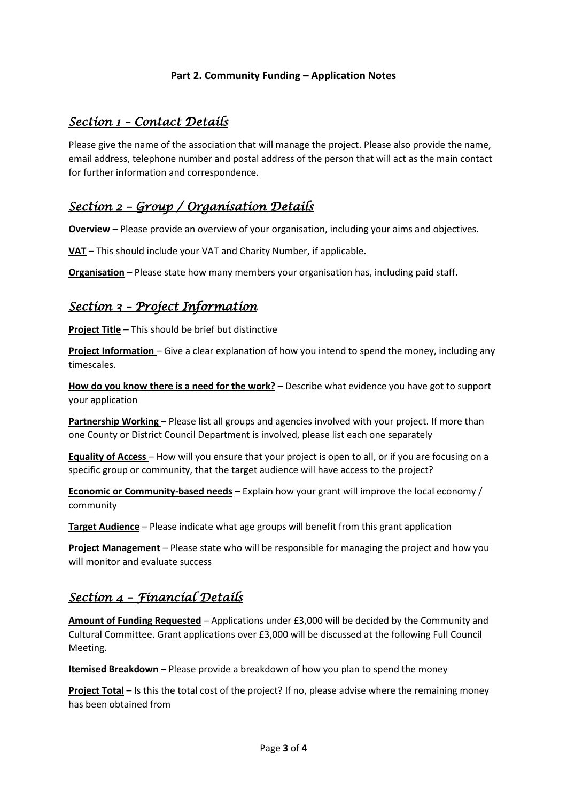#### **Part 2. Community Funding – Application Notes**

### *Section 1 – Contact Details*

Please give the name of the association that will manage the project. Please also provide the name, email address, telephone number and postal address of the person that will act as the main contact for further information and correspondence.

# *Section 2 – Group / Organisation Details*

**Overview** – Please provide an overview of your organisation, including your aims and objectives.

**VAT** – This should include your VAT and Charity Number, if applicable.

**Organisation** – Please state how many members your organisation has, including paid staff.

#### *Section 3 – Project Information*

**Project Title** – This should be brief but distinctive

**Project Information** – Give a clear explanation of how you intend to spend the money, including any timescales.

**How do you know there is a need for the work?** – Describe what evidence you have got to support your application

Partnership Working - Please list all groups and agencies involved with your project. If more than one County or District Council Department is involved, please list each one separately

**Equality of Access** – How will you ensure that your project is open to all, or if you are focusing on a specific group or community, that the target audience will have access to the project?

**Economic or Community-based needs** – Explain how your grant will improve the local economy / community

**Target Audience** – Please indicate what age groups will benefit from this grant application

**Project Management** – Please state who will be responsible for managing the project and how you will monitor and evaluate success

#### *Section 4 – Financial Details*

**Amount of Funding Requested** – Applications under £3,000 will be decided by the Community and Cultural Committee. Grant applications over £3,000 will be discussed at the following Full Council Meeting.

**Itemised Breakdown** – Please provide a breakdown of how you plan to spend the money

**Project Total** – Is this the total cost of the project? If no, please advise where the remaining money has been obtained from